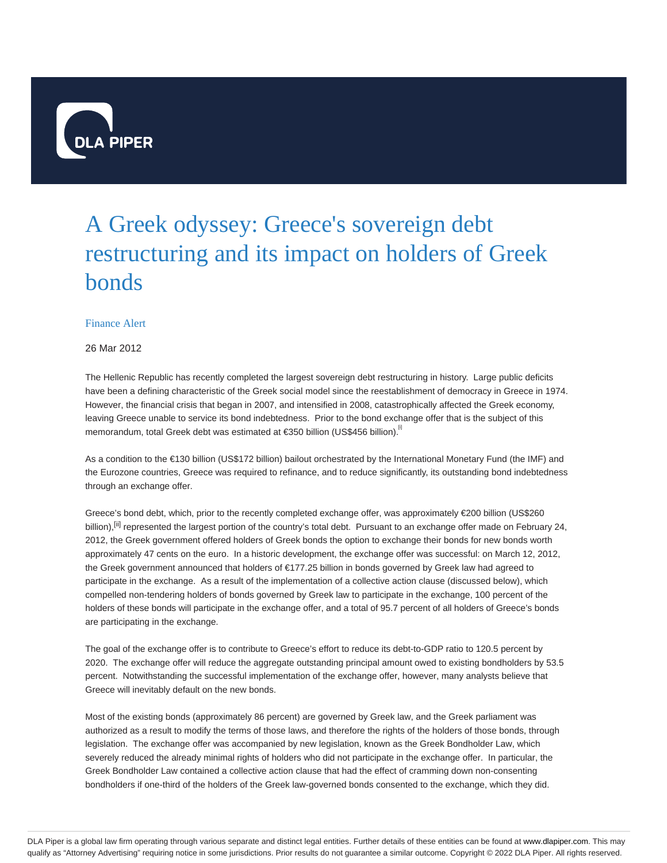

# A Greek odyssey: Greece's sovereign debt restructuring and its impact on holders of Greek bonds

# Finance Alert

# 26 Mar 2012

The Hellenic Republic has recently completed the largest sovereign debt restructuring in history. Large public deficits have been a defining characteristic of the Greek social model since the reestablishment of democracy in Greece in 1974. However, the financial crisis that began in 2007, and intensified in 2008, catastrophically affected the Greek economy, leaving Greece unable to service its bond indebtedness. Prior to the bond exchange offer that is the subject of this memorandum, total Greek debt was estimated at €350 billion (US\$456 billion).<sup>[1]</sup>

As a condition to the €130 billion (US\$172 billion) bailout orchestrated by the International Monetary Fund (the IMF) and the Eurozone countries, Greece was required to refinance, and to reduce significantly, its outstanding bond indebtedness through an exchange offer.

Greece's bond debt, which, prior to the recently completed exchange offer, was approximately €200 billion (US\$260 billion),<sup>[ii]</sup> represented the largest portion of the country's total debt. Pursuant to an exchange offer made on February 24, 2012, the Greek government offered holders of Greek bonds the option to exchange their bonds for new bonds worth approximately 47 cents on the euro. In a historic development, the exchange offer was successful: on March 12, 2012, the Greek government announced that holders of €177.25 billion in bonds governed by Greek law had agreed to participate in the exchange. As a result of the implementation of a collective action clause (discussed below), which compelled non-tendering holders of bonds governed by Greek law to participate in the exchange, 100 percent of the holders of these bonds will participate in the exchange offer, and a total of 95.7 percent of all holders of Greece's bonds are participating in the exchange.

The goal of the exchange offer is to contribute to Greece's effort to reduce its debt-to-GDP ratio to 120.5 percent by 2020. The exchange offer will reduce the aggregate outstanding principal amount owed to existing bondholders by 53.5 percent. Notwithstanding the successful implementation of the exchange offer, however, many analysts believe that Greece will inevitably default on the new bonds.

Most of the existing bonds (approximately 86 percent) are governed by Greek law, and the Greek parliament was authorized as a result to modify the terms of those laws, and therefore the rights of the holders of those bonds, through legislation. The exchange offer was accompanied by new legislation, known as the Greek Bondholder Law, which severely reduced the already minimal rights of holders who did not participate in the exchange offer. In particular, the Greek Bondholder Law contained a collective action clause that had the effect of cramming down non-consenting bondholders if one-third of the holders of the Greek law-governed bonds consented to the exchange, which they did.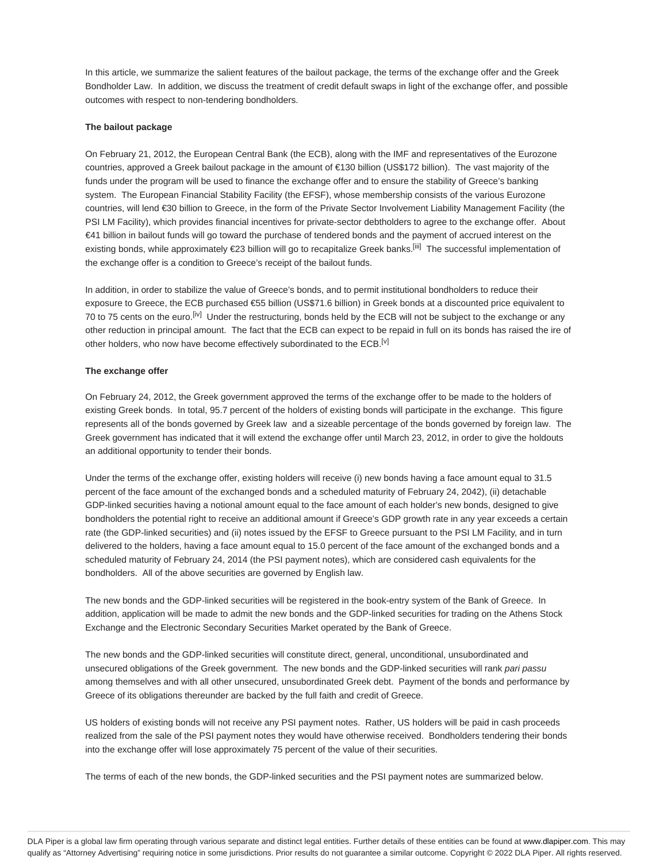In this article, we summarize the salient features of the bailout package, the terms of the exchange offer and the Greek Bondholder Law. In addition, we discuss the treatment of credit default swaps in light of the exchange offer, and possible outcomes with respect to non-tendering bondholders.

#### **The bailout package**

On February 21, 2012, the European Central Bank (the ECB), along with the IMF and representatives of the Eurozone countries, approved a Greek bailout package in the amount of €130 billion (US\$172 billion). The vast majority of the funds under the program will be used to finance the exchange offer and to ensure the stability of Greece's banking system. The European Financial Stability Facility (the EFSF), whose membership consists of the various Eurozone countries, will lend €30 billion to Greece, in the form of the Private Sector Involvement Liability Management Facility (the PSI LM Facility), which provides financial incentives for private-sector debtholders to agree to the exchange offer. About €41 billion in bailout funds will go toward the purchase of tendered bonds and the payment of accrued interest on the existing bonds, while approximately €23 billion will go to recapitalize Greek banks.<sup>[iii]</sup> The successful implementation of the exchange offer is a condition to Greece's receipt of the bailout funds.

In addition, in order to stabilize the value of Greece's bonds, and to permit institutional bondholders to reduce their exposure to Greece, the ECB purchased €55 billion (US\$71.6 billion) in Greek bonds at a discounted price equivalent to 70 to 75 cents on the euro.<sup>[iv]</sup> Under the restructuring, bonds held by the ECB will not be subject to the exchange or any other reduction in principal amount. The fact that the ECB can expect to be repaid in full on its bonds has raised the ire of other holders, who now have become effectively subordinated to the ECB.<sup>[v]</sup>

#### **The exchange offer**

On February 24, 2012, the Greek government approved the terms of the exchange offer to be made to the holders of existing Greek bonds. In total, 95.7 percent of the holders of existing bonds will participate in the exchange. This figure represents all of the bonds governed by Greek law and a sizeable percentage of the bonds governed by foreign law. The Greek government has indicated that it will extend the exchange offer until March 23, 2012, in order to give the holdouts an additional opportunity to tender their bonds.

Under the terms of the exchange offer, existing holders will receive (i) new bonds having a face amount equal to 31.5 percent of the face amount of the exchanged bonds and a scheduled maturity of February 24, 2042), (ii) detachable GDP-linked securities having a notional amount equal to the face amount of each holder's new bonds, designed to give bondholders the potential right to receive an additional amount if Greece's GDP growth rate in any year exceeds a certain rate (the GDP-linked securities) and (ii) notes issued by the EFSF to Greece pursuant to the PSI LM Facility, and in turn delivered to the holders, having a face amount equal to 15.0 percent of the face amount of the exchanged bonds and a scheduled maturity of February 24, 2014 (the PSI payment notes), which are considered cash equivalents for the bondholders. All of the above securities are governed by English law.

The new bonds and the GDP-linked securities will be registered in the book-entry system of the Bank of Greece. In addition, application will be made to admit the new bonds and the GDP-linked securities for trading on the Athens Stock Exchange and the Electronic Secondary Securities Market operated by the Bank of Greece.

The new bonds and the GDP-linked securities will constitute direct, general, unconditional, unsubordinated and unsecured obligations of the Greek government. The new bonds and the GDP-linked securities will rank pari passu among themselves and with all other unsecured, unsubordinated Greek debt. Payment of the bonds and performance by Greece of its obligations thereunder are backed by the full faith and credit of Greece.

US holders of existing bonds will not receive any PSI payment notes. Rather, US holders will be paid in cash proceeds realized from the sale of the PSI payment notes they would have otherwise received. Bondholders tendering their bonds into the exchange offer will lose approximately 75 percent of the value of their securities.

The terms of each of the new bonds, the GDP-linked securities and the PSI payment notes are summarized below.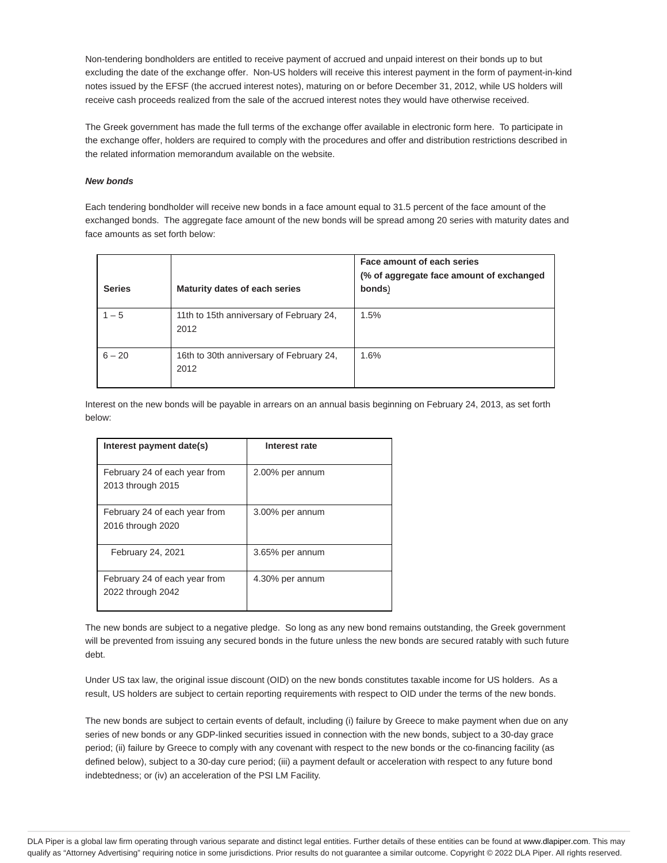Non-tendering bondholders are entitled to receive payment of accrued and unpaid interest on their bonds up to but excluding the date of the exchange offer. Non-US holders will receive this interest payment in the form of payment-in-kind notes issued by the EFSF (the accrued interest notes), maturing on or before December 31, 2012, while US holders will receive cash proceeds realized from the sale of the accrued interest notes they would have otherwise received.

The Greek government has made the full terms of the exchange offer available in electronic form here. To participate in the exchange offer, holders are required to comply with the procedures and offer and distribution restrictions described in the related information memorandum available on the website.

### **New bonds**

Each tendering bondholder will receive new bonds in a face amount equal to 31.5 percent of the face amount of the exchanged bonds. The aggregate face amount of the new bonds will be spread among 20 series with maturity dates and face amounts as set forth below:

| <b>Series</b> | Maturity dates of each series                    | Face amount of each series<br>(% of aggregate face amount of exchanged<br>bonds) |
|---------------|--------------------------------------------------|----------------------------------------------------------------------------------|
| $1 - 5$       | 11th to 15th anniversary of February 24,<br>2012 | 1.5%                                                                             |
| $6 - 20$      | 16th to 30th anniversary of February 24,<br>2012 | 1.6%                                                                             |

Interest on the new bonds will be payable in arrears on an annual basis beginning on February 24, 2013, as set forth below:

| Interest payment date(s)                           | Interest rate   |
|----------------------------------------------------|-----------------|
| February 24 of each year from<br>2013 through 2015 | 2.00% per annum |
| February 24 of each year from<br>2016 through 2020 | 3.00% per annum |
| February 24, 2021                                  | 3.65% per annum |
| February 24 of each year from<br>2022 through 2042 | 4.30% per annum |

The new bonds are subject to a negative pledge. So long as any new bond remains outstanding, the Greek government will be prevented from issuing any secured bonds in the future unless the new bonds are secured ratably with such future debt.

Under US tax law, the original issue discount (OID) on the new bonds constitutes taxable income for US holders. As a result, US holders are subject to certain reporting requirements with respect to OID under the terms of the new bonds.

The new bonds are subject to certain events of default, including (i) failure by Greece to make payment when due on any series of new bonds or any GDP-linked securities issued in connection with the new bonds, subject to a 30-day grace period; (ii) failure by Greece to comply with any covenant with respect to the new bonds or the co-financing facility (as defined below), subject to a 30-day cure period; (iii) a payment default or acceleration with respect to any future bond indebtedness; or (iv) an acceleration of the PSI LM Facility.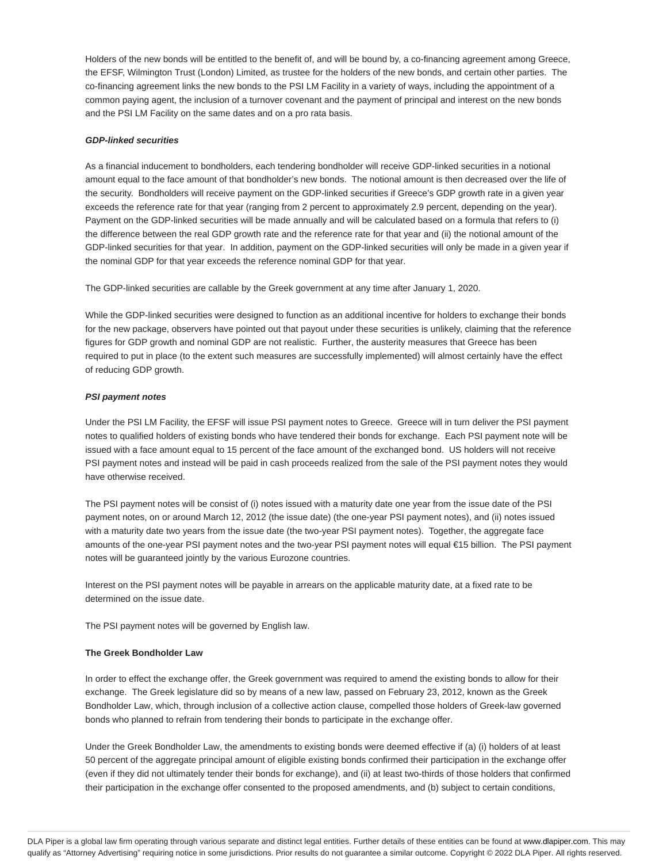Holders of the new bonds will be entitled to the benefit of, and will be bound by, a co-financing agreement among Greece, the EFSF, Wilmington Trust (London) Limited, as trustee for the holders of the new bonds, and certain other parties. The co-financing agreement links the new bonds to the PSI LM Facility in a variety of ways, including the appointment of a common paying agent, the inclusion of a turnover covenant and the payment of principal and interest on the new bonds and the PSI LM Facility on the same dates and on a pro rata basis.

### **GDP-linked securities**

As a financial inducement to bondholders, each tendering bondholder will receive GDP-linked securities in a notional amount equal to the face amount of that bondholder's new bonds. The notional amount is then decreased over the life of the security. Bondholders will receive payment on the GDP-linked securities if Greece's GDP growth rate in a given year exceeds the reference rate for that year (ranging from 2 percent to approximately 2.9 percent, depending on the year). Payment on the GDP-linked securities will be made annually and will be calculated based on a formula that refers to (i) the difference between the real GDP growth rate and the reference rate for that year and (ii) the notional amount of the GDP-linked securities for that year. In addition, payment on the GDP-linked securities will only be made in a given year if the nominal GDP for that year exceeds the reference nominal GDP for that year.

The GDP-linked securities are callable by the Greek government at any time after January 1, 2020.

While the GDP-linked securities were designed to function as an additional incentive for holders to exchange their bonds for the new package, observers have pointed out that payout under these securities is unlikely, claiming that the reference figures for GDP growth and nominal GDP are not realistic. Further, the austerity measures that Greece has been required to put in place (to the extent such measures are successfully implemented) will almost certainly have the effect of reducing GDP growth.

### **PSI payment notes**

Under the PSI LM Facility, the EFSF will issue PSI payment notes to Greece. Greece will in turn deliver the PSI payment notes to qualified holders of existing bonds who have tendered their bonds for exchange. Each PSI payment note will be issued with a face amount equal to 15 percent of the face amount of the exchanged bond. US holders will not receive PSI payment notes and instead will be paid in cash proceeds realized from the sale of the PSI payment notes they would have otherwise received.

The PSI payment notes will be consist of (i) notes issued with a maturity date one year from the issue date of the PSI payment notes, on or around March 12, 2012 (the issue date) (the one-year PSI payment notes), and (ii) notes issued with a maturity date two years from the issue date (the two-year PSI payment notes). Together, the aggregate face amounts of the one-year PSI payment notes and the two-year PSI payment notes will equal €15 billion. The PSI payment notes will be guaranteed jointly by the various Eurozone countries.

Interest on the PSI payment notes will be payable in arrears on the applicable maturity date, at a fixed rate to be determined on the issue date.

The PSI payment notes will be governed by English law.

#### **The Greek Bondholder Law**

In order to effect the exchange offer, the Greek government was required to amend the existing bonds to allow for their exchange. The Greek legislature did so by means of a new law, passed on February 23, 2012, known as the Greek Bondholder Law, which, through inclusion of a collective action clause, compelled those holders of Greek-law governed bonds who planned to refrain from tendering their bonds to participate in the exchange offer.

Under the Greek Bondholder Law, the amendments to existing bonds were deemed effective if (a) (i) holders of at least 50 percent of the aggregate principal amount of eligible existing bonds confirmed their participation in the exchange offer (even if they did not ultimately tender their bonds for exchange), and (ii) at least two-thirds of those holders that confirmed their participation in the exchange offer consented to the proposed amendments, and (b) subject to certain conditions,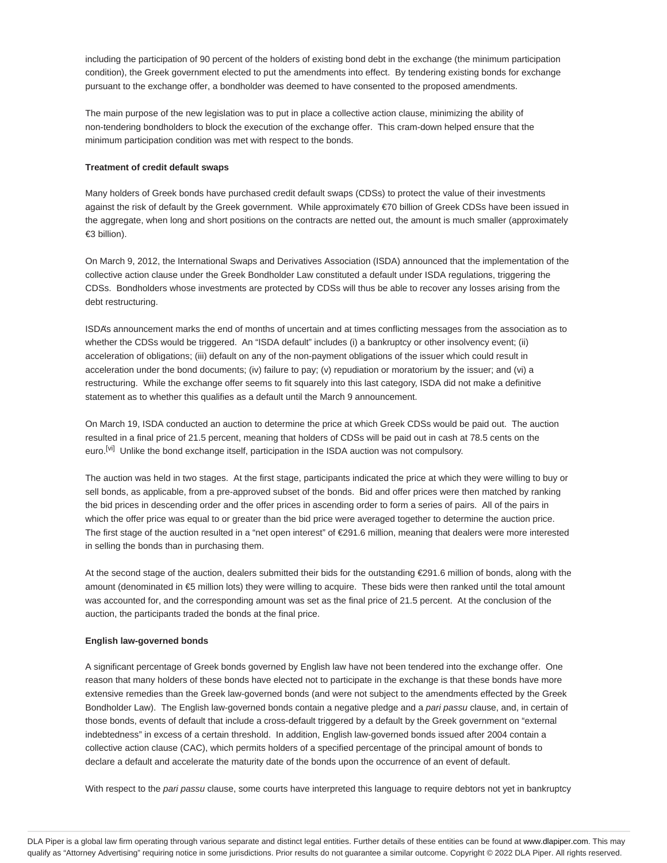including the participation of 90 percent of the holders of existing bond debt in the exchange (the minimum participation condition), the Greek government elected to put the amendments into effect. By tendering existing bonds for exchange pursuant to the exchange offer, a bondholder was deemed to have consented to the proposed amendments.

The main purpose of the new legislation was to put in place a collective action clause, minimizing the ability of non-tendering bondholders to block the execution of the exchange offer. This cram-down helped ensure that the minimum participation condition was met with respect to the bonds.

#### **Treatment of credit default swaps**

Many holders of Greek bonds have purchased credit default swaps (CDSs) to protect the value of their investments against the risk of default by the Greek government. While approximately €70 billion of Greek CDSs have been issued in the aggregate, when long and short positions on the contracts are netted out, the amount is much smaller (approximately €3 billion).

On March 9, 2012, the International Swaps and Derivatives Association (ISDA) announced that the implementation of the collective action clause under the Greek Bondholder Law constituted a default under ISDA regulations, triggering the CDSs. Bondholders whose investments are protected by CDSs will thus be able to recover any losses arising from the debt restructuring.

ISDA's announcement marks the end of months of uncertain and at times conflicting messages from the association as to whether the CDSs would be triggered. An "ISDA default" includes (i) a bankruptcy or other insolvency event; (ii) acceleration of obligations; (iii) default on any of the non-payment obligations of the issuer which could result in acceleration under the bond documents; (iv) failure to pay; (v) repudiation or moratorium by the issuer; and (vi) a restructuring. While the exchange offer seems to fit squarely into this last category, ISDA did not make a definitive statement as to whether this qualifies as a default until the March 9 announcement.

On March 19, ISDA conducted an auction to determine the price at which Greek CDSs would be paid out. The auction resulted in a final price of 21.5 percent, meaning that holders of CDSs will be paid out in cash at 78.5 cents on the euro.<sup>[vi]</sup> Unlike the bond exchange itself, participation in the ISDA auction was not compulsory.

The auction was held in two stages. At the first stage, participants indicated the price at which they were willing to buy or sell bonds, as applicable, from a pre-approved subset of the bonds. Bid and offer prices were then matched by ranking the bid prices in descending order and the offer prices in ascending order to form a series of pairs. All of the pairs in which the offer price was equal to or greater than the bid price were averaged together to determine the auction price. The first stage of the auction resulted in a "net open interest" of €291.6 million, meaning that dealers were more interested in selling the bonds than in purchasing them.

At the second stage of the auction, dealers submitted their bids for the outstanding  $\epsilon$ 291.6 million of bonds, along with the amount (denominated in €5 million lots) they were willing to acquire. These bids were then ranked until the total amount was accounted for, and the corresponding amount was set as the final price of 21.5 percent. At the conclusion of the auction, the participants traded the bonds at the final price.

# **English law-governed bonds**

A significant percentage of Greek bonds governed by English law have not been tendered into the exchange offer. One reason that many holders of these bonds have elected not to participate in the exchange is that these bonds have more extensive remedies than the Greek law-governed bonds (and were not subject to the amendments effected by the Greek Bondholder Law). The English law-governed bonds contain a negative pledge and a pari passu clause, and, in certain of those bonds, events of default that include a cross-default triggered by a default by the Greek government on "external indebtedness" in excess of a certain threshold. In addition, English law-governed bonds issued after 2004 contain a collective action clause (CAC), which permits holders of a specified percentage of the principal amount of bonds to declare a default and accelerate the maturity date of the bonds upon the occurrence of an event of default.

With respect to the pari passu clause, some courts have interpreted this language to require debtors not yet in bankruptcy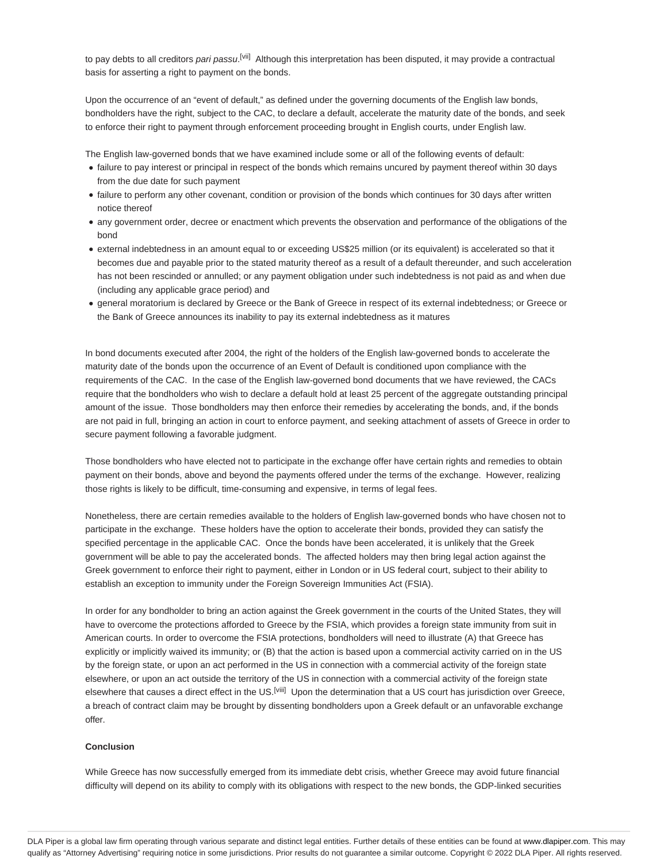to pay debts to all creditors *pari passu.<sup>[vii]</sup>* Although this interpretation has been disputed, it may provide a contractual basis for asserting a right to payment on the bonds.

Upon the occurrence of an "event of default," as defined under the governing documents of the English law bonds, bondholders have the right, subject to the CAC, to declare a default, accelerate the maturity date of the bonds, and seek to enforce their right to payment through enforcement proceeding brought in English courts, under English law.

The English law-governed bonds that we have examined include some or all of the following events of default:

- failure to pay interest or principal in respect of the bonds which remains uncured by payment thereof within 30 days from the due date for such payment
- failure to perform any other covenant, condition or provision of the bonds which continues for 30 days after written notice thereof
- any government order, decree or enactment which prevents the observation and performance of the obligations of the bond
- external indebtedness in an amount equal to or exceeding US\$25 million (or its equivalent) is accelerated so that it becomes due and payable prior to the stated maturity thereof as a result of a default thereunder, and such acceleration has not been rescinded or annulled; or any payment obligation under such indebtedness is not paid as and when due (including any applicable grace period) and
- general moratorium is declared by Greece or the Bank of Greece in respect of its external indebtedness; or Greece or the Bank of Greece announces its inability to pay its external indebtedness as it matures

In bond documents executed after 2004, the right of the holders of the English law-governed bonds to accelerate the maturity date of the bonds upon the occurrence of an Event of Default is conditioned upon compliance with the requirements of the CAC. In the case of the English law-governed bond documents that we have reviewed, the CACs require that the bondholders who wish to declare a default hold at least 25 percent of the aggregate outstanding principal amount of the issue. Those bondholders may then enforce their remedies by accelerating the bonds, and, if the bonds are not paid in full, bringing an action in court to enforce payment, and seeking attachment of assets of Greece in order to secure payment following a favorable judgment.

Those bondholders who have elected not to participate in the exchange offer have certain rights and remedies to obtain payment on their bonds, above and beyond the payments offered under the terms of the exchange. However, realizing those rights is likely to be difficult, time-consuming and expensive, in terms of legal fees.

Nonetheless, there are certain remedies available to the holders of English law-governed bonds who have chosen not to participate in the exchange. These holders have the option to accelerate their bonds, provided they can satisfy the specified percentage in the applicable CAC. Once the bonds have been accelerated, it is unlikely that the Greek government will be able to pay the accelerated bonds. The affected holders may then bring legal action against the Greek government to enforce their right to payment, either in London or in US federal court, subject to their ability to establish an exception to immunity under the Foreign Sovereign Immunities Act (FSIA).

In order for any bondholder to bring an action against the Greek government in the courts of the United States, they will have to overcome the protections afforded to Greece by the FSIA, which provides a foreign state immunity from suit in American courts. In order to overcome the FSIA protections, bondholders will need to illustrate (A) that Greece has explicitly or implicitly waived its immunity; or (B) that the action is based upon a commercial activity carried on in the US by the foreign state, or upon an act performed in the US in connection with a commercial activity of the foreign state elsewhere, or upon an act outside the territory of the US in connection with a commercial activity of the foreign state elsewhere that causes a direct effect in the US.<sup>[viii]</sup> Upon the determination that a US court has jurisdiction over Greece, a breach of contract claim may be brought by dissenting bondholders upon a Greek default or an unfavorable exchange offer.

#### **Conclusion**

While Greece has now successfully emerged from its immediate debt crisis, whether Greece may avoid future financial difficulty will depend on its ability to comply with its obligations with respect to the new bonds, the GDP-linked securities